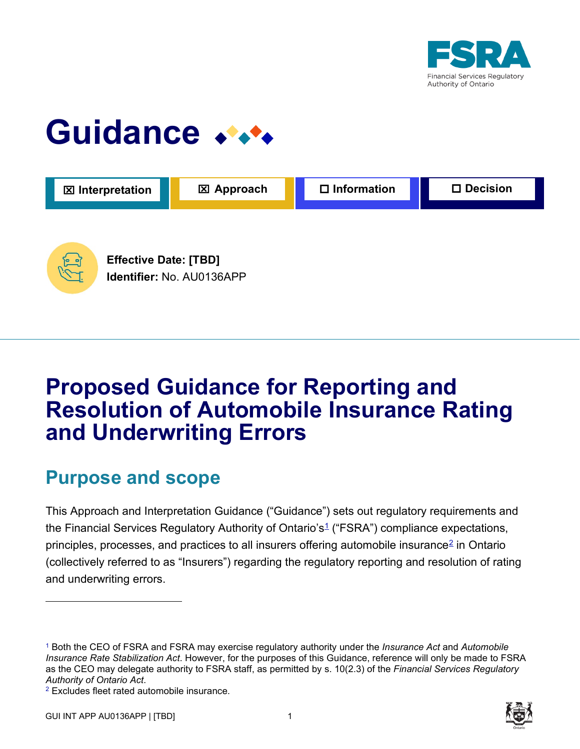

## Guidance **\*\*\***



## **Proposed Guidance for Reporting and Resolution of Automobile Insurance Rating and Underwriting Errors**

### **Purpose and scope**

This Approach and Interpretation Guidance ("Guidance") sets out regulatory requirements and the Financial Services Regulatory Authority of Ontario's<sup>1</sup> ("FSRA") compliance expectations, principles, processes, and practices to all insurers offering automobile insurance<sup>2</sup> in Ontario (collectively referred to as "Insurers") regarding the regulatory reporting and resolution of rating and underwriting errors.



<sup>1</sup> Both the CEO of FSRA and FSRA may exercise regulatory authority under the *Insurance Act* and *Automobile Insurance Rate Stabilization Act*. However, for the purposes of this Guidance, reference will only be made to FSRA as the CEO may delegate authority to FSRA staff, as permitted by s. 10(2.3) of the *Financial Services Regulatory Authority of Ontario Act*. 2 Excludes fleet rated automobile insurance.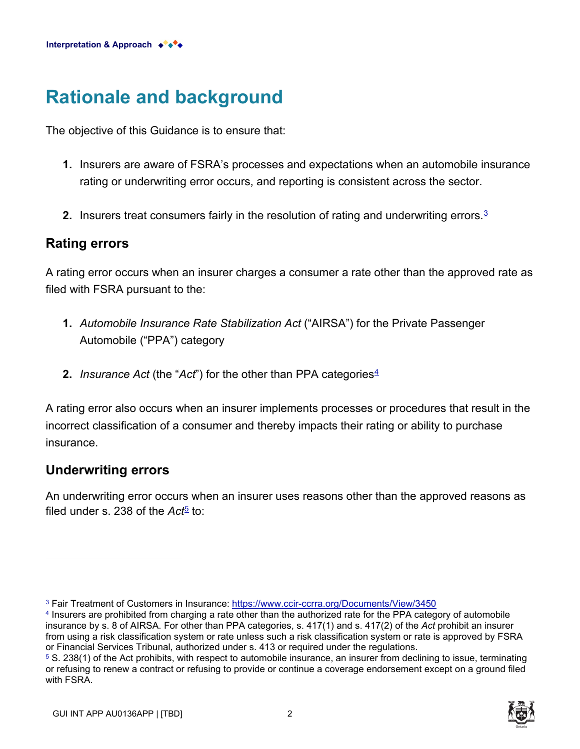## **Rationale and background**

The objective of this Guidance is to ensure that:

- **1.** Insurers are aware of FSRA's processes and expectations when an automobile insurance rating or underwriting error occurs, and reporting is consistent across the sector.
- **2.** Insurers treat consumers fairly in the resolution of rating and underwriting errors.<sup>3</sup>

#### **Rating errors**

A rating error occurs when an insurer charges a consumer a rate other than the approved rate as filed with FSRA pursuant to the:

- **1.** *Automobile Insurance Rate Stabilization Act* ("AIRSA") for the Private Passenger Automobile ("PPA") category
- **2.** *Insurance Act* (the "*Act*") for the other than PPA categories<sup>4</sup>

A rating error also occurs when an insurer implements processes or procedures that result in the incorrect classification of a consumer and thereby impacts their rating or ability to purchase insurance.

#### **Underwriting errors**

An underwriting error occurs when an insurer uses reasons other than the approved reasons as filed under s. 238 of the  $Act^5$  to:

<sup>5</sup> S. 238(1) of the Act prohibits, with respect to automobile insurance, an insurer from declining to issue, terminating or refusing to renew a contract or refusing to provide or continue a coverage endorsement except on a ground filed with FSRA.



<sup>3</sup> Fair Treatment of Customers in Insurance:<https://www.ccir-ccrra.org/Documents/View/3450>

<sup>4</sup> Insurers are prohibited from charging a rate other than the authorized rate for the PPA category of automobile insurance by s. 8 of AIRSA. For other than PPA categories, s. 417(1) and s. 417(2) of the *Act* prohibit an insurer from using a risk classification system or rate unless such a risk classification system or rate is approved by FSRA or Financial Services Tribunal, authorized under s. 413 or required under the regulations.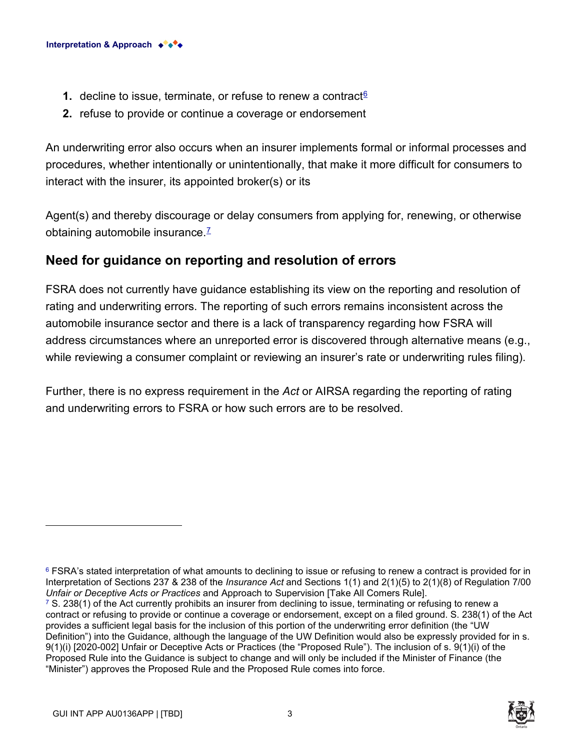- **1.** decline to issue, terminate, or refuse to renew a contract $6$
- **2.** refuse to provide or continue a coverage or endorsement

An underwriting error also occurs when an insurer implements formal or informal processes and procedures, whether intentionally or unintentionally, that make it more difficult for consumers to interact with the insurer, its appointed broker(s) or its

Agent(s) and thereby discourage or delay consumers from applying for, renewing, or otherwise obtaining automobile insurance. $<sup>7</sup>$ </sup>

#### **Need for guidance on reporting and resolution of errors**

FSRA does not currently have guidance establishing its view on the reporting and resolution of rating and underwriting errors. The reporting of such errors remains inconsistent across the automobile insurance sector and there is a lack of transparency regarding how FSRA will address circumstances where an unreported error is discovered through alternative means (e.g., while reviewing a consumer complaint or reviewing an insurer's rate or underwriting rules filing).

Further, there is no express requirement in the *Act* or AIRSA regarding the reporting of rating and underwriting errors to FSRA or how such errors are to be resolved.

 $7$  S. 238(1) of the Act currently prohibits an insurer from declining to issue, terminating or refusing to renew a contract or refusing to provide or continue a coverage or endorsement, except on a filed ground. S. 238(1) of the Act provides a sufficient legal basis for the inclusion of this portion of the underwriting error definition (the "UW Definition") into the Guidance, although the language of the UW Definition would also be expressly provided for in s. 9(1)(i) [2020-002] Unfair or Deceptive Acts or Practices (the "Proposed Rule"). The inclusion of s. 9(1)(i) of the Proposed Rule into the Guidance is subject to change and will only be included if the Minister of Finance (the "Minister") approves the Proposed Rule and the Proposed Rule comes into force.



<sup>&</sup>lt;sup>6</sup> FSRA's stated interpretation of what amounts to declining to issue or refusing to renew a contract is provided for in Interpretation of Sections 237 & 238 of the *Insurance Act* and Sections 1(1) and 2(1)(5) to 2(1)(8) of Regulation 7/00 *Unfair or Deceptive Acts or Practices* and Approach to Supervision [Take All Comers Rule].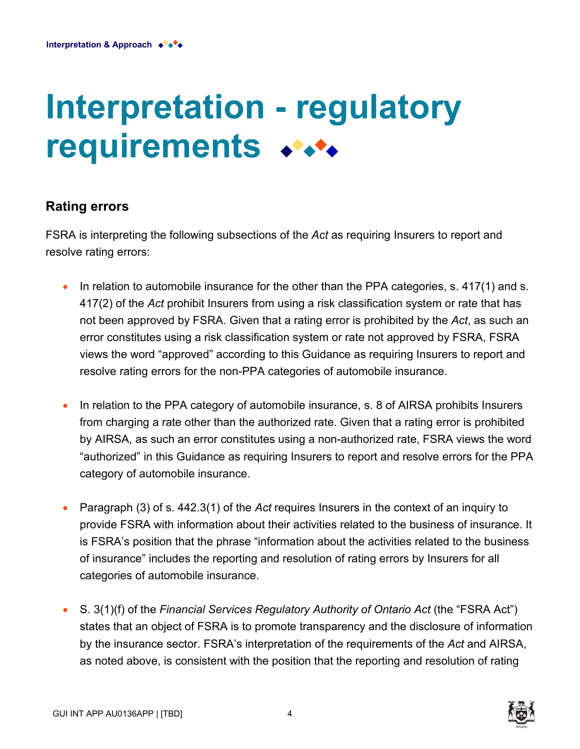# **Interpretation - regulatory requirements**

#### **Rating errors**

FSRA is interpreting the following subsections of the *Act* as requiring Insurers to report and resolve rating errors:

- In relation to automobile insurance for the other than the PPA categories, s. 417(1) and s. 417(2) of the *Act* prohibit Insurers from using a risk classification system or rate that has not been approved by FSRA. Given that a rating error is prohibited by the *Act*, as such an error constitutes using a risk classification system or rate not approved by FSRA, FSRA views the word "approved" according to this Guidance as requiring Insurers to report and resolve rating errors for the non-PPA categories of automobile insurance.
- In relation to the PPA category of automobile insurance, s. 8 of AIRSA prohibits Insurers from charging a rate other than the authorized rate. Given that a rating error is prohibited by AIRSA, as such an error constitutes using a non-authorized rate, FSRA views the word "authorized" in this Guidance as requiring Insurers to report and resolve errors for the PPA category of automobile insurance.
- Paragraph (3) of s. 442.3(1) of the *Act* requires Insurers in the context of an inquiry to provide FSRA with information about their activities related to the business of insurance. It is FSRA's position that the phrase "information about the activities related to the business of insurance" includes the reporting and resolution of rating errors by Insurers for all categories of automobile insurance.
- S. 3(1)(f) of the *Financial Services Regulatory Authority of Ontario Act* (the "FSRA Act") states that an object of FSRA is to promote transparency and the disclosure of information by the insurance sector. FSRA's interpretation of the requirements of the *Act* and AIRSA, as noted above, is consistent with the position that the reporting and resolution of rating

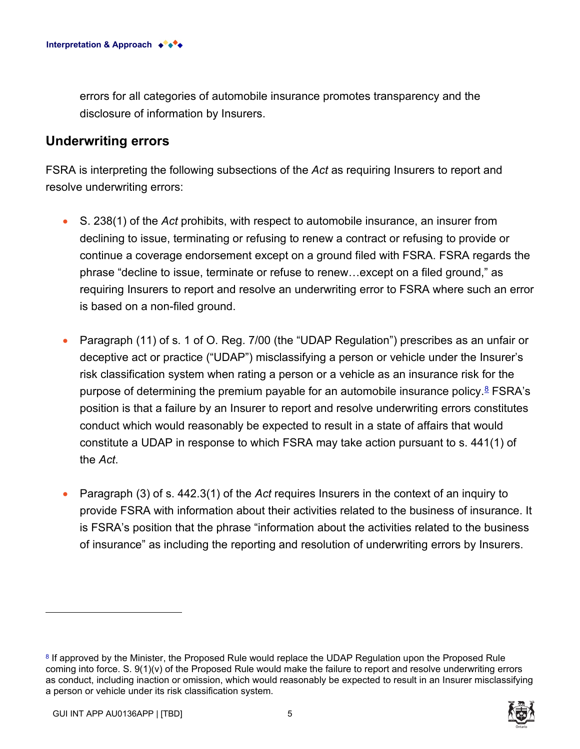errors for all categories of automobile insurance promotes transparency and the disclosure of information by Insurers.

#### **Underwriting errors**

FSRA is interpreting the following subsections of the *Act* as requiring Insurers to report and resolve underwriting errors:

- S. 238(1) of the *Act* prohibits, with respect to automobile insurance, an insurer from declining to issue, terminating or refusing to renew a contract or refusing to provide or continue a coverage endorsement except on a ground filed with FSRA. FSRA regards the phrase "decline to issue, terminate or refuse to renew…except on a filed ground," as requiring Insurers to report and resolve an underwriting error to FSRA where such an error is based on a non-filed ground.
- Paragraph (11) of s. 1 of O. Reg. 7/00 (the "UDAP Regulation") prescribes as an unfair or deceptive act or practice ("UDAP") misclassifying a person or vehicle under the Insurer's risk classification system when rating a person or a vehicle as an insurance risk for the purpose of determining the premium payable for an automobile insurance policy. $8$  FSRA's position is that a failure by an Insurer to report and resolve underwriting errors constitutes conduct which would reasonably be expected to result in a state of affairs that would constitute a UDAP in response to which FSRA may take action pursuant to s. 441(1) of the *Act*.
- Paragraph (3) of s. 442.3(1) of the *Act* requires Insurers in the context of an inquiry to provide FSRA with information about their activities related to the business of insurance. It is FSRA's position that the phrase "information about the activities related to the business of insurance" as including the reporting and resolution of underwriting errors by Insurers.

<sup>&</sup>lt;sup>8</sup> If approved by the Minister, the Proposed Rule would replace the UDAP Regulation upon the Proposed Rule coming into force. S. 9(1)(v) of the Proposed Rule would make the failure to report and resolve underwriting errors as conduct, including inaction or omission, which would reasonably be expected to result in an Insurer misclassifying a person or vehicle under its risk classification system.

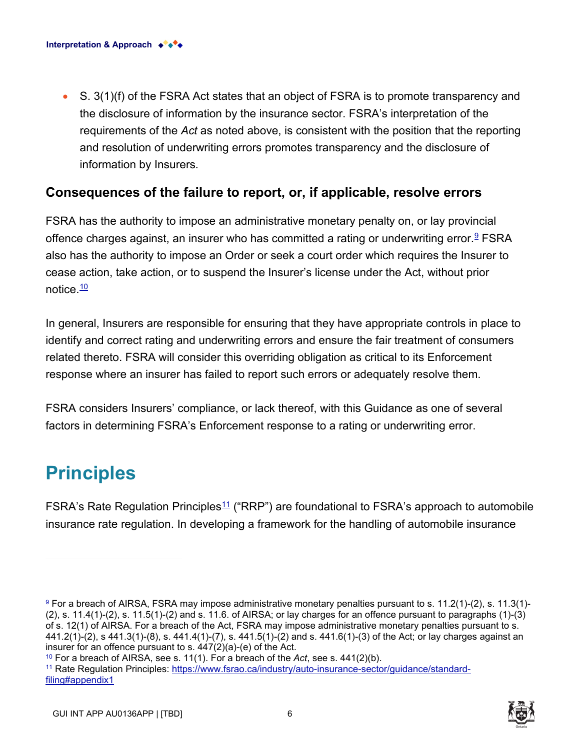• S. 3(1)(f) of the FSRA Act states that an object of FSRA is to promote transparency and the disclosure of information by the insurance sector. FSRA's interpretation of the requirements of the *Act* as noted above, is consistent with the position that the reporting and resolution of underwriting errors promotes transparency and the disclosure of information by Insurers.

#### **Consequences of the failure to report, or, if applicable, resolve errors**

FSRA has the authority to impose an administrative monetary penalty on, or lay provincial offence charges against, an insurer who has committed a rating or underwriting error.<sup>9</sup> FSRA also has the authority to impose an Order or seek a court order which requires the Insurer to cease action, take action, or to suspend the Insurer's license under the Act, without prior notice  $\frac{10}{10}$ 

In general, Insurers are responsible for ensuring that they have appropriate controls in place to identify and correct rating and underwriting errors and ensure the fair treatment of consumers related thereto. FSRA will consider this overriding obligation as critical to its Enforcement response where an insurer has failed to report such errors or adequately resolve them.

FSRA considers Insurers' compliance, or lack thereof, with this Guidance as one of several factors in determining FSRA's Enforcement response to a rating or underwriting error.

## **Principles**

FSRA's Rate Regulation Principles<sup>11</sup> ("RRP") are foundational to FSRA's approach to automobile insurance rate regulation. In developing a framework for the handling of automobile insurance



<sup>9</sup> For a breach of AIRSA, FSRA may impose administrative monetary penalties pursuant to s. 11.2(1)-(2), s. 11.3(1)-  $(2)$ , s. 11.4(1)- $(2)$ , s. 11.5(1)- $(2)$  and s. 11.6. of AIRSA; or lay charges for an offence pursuant to paragraphs  $(1)$ - $(3)$ of s. 12(1) of AIRSA. For a breach of the Act, FSRA may impose administrative monetary penalties pursuant to s. 441.2(1)-(2), s 441.3(1)-(8), s. 441.4(1)-(7), s. 441.5(1)-(2) and s. 441.6(1)-(3) of the Act; or lay charges against an insurer for an offence pursuant to s. 447(2)(a)-(e) of the Act.

<sup>10</sup> For a breach of AIRSA, see s. 11(1). For a breach of the *Act*, see s. 441(2)(b).

[<sup>11</sup> Rate Regulation Principles: https://www.fsrao.ca/industry/auto-insurance-sector/guidance/standard](https://www.fsrao.ca/industry/auto-insurance-sector/guidance/standard-filing#appendix1)filing#appendix1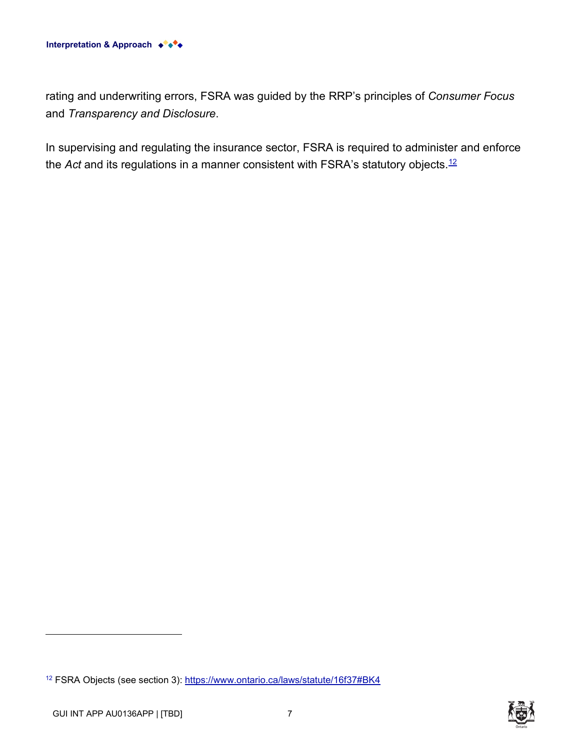

rating and underwriting errors, FSRA was guided by the RRP's principles of *Consumer Focus*  and *Transparency and Disclosure*.

In supervising and regulating the insurance sector, FSRA is required to administer and enforce the *Act* and its regulations in a manner consistent with FSRA's statutory objects.<sup>12</sup>

<sup>12</sup> FSRA Objects (see section 3):<https://www.ontario.ca/laws/statute/16f37#BK4>



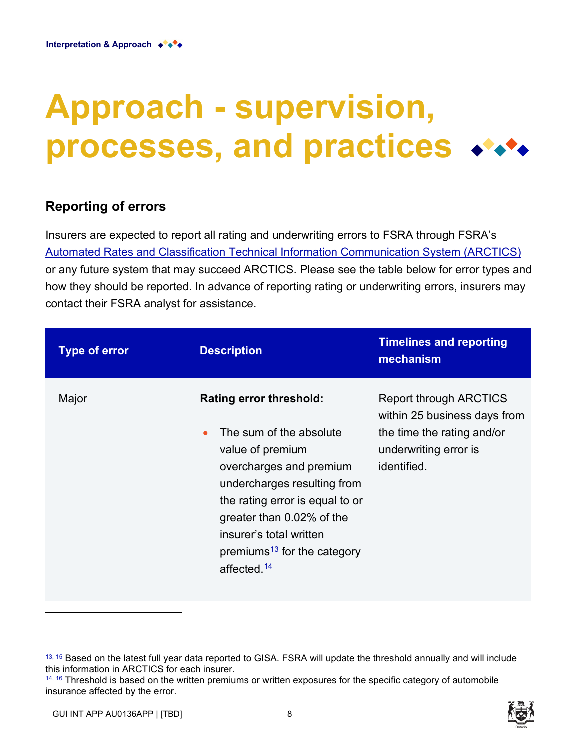# **Approach - supervision, processes, and practices**

#### **Reporting of errors**

Insurers are expected to report all rating and underwriting errors to FSRA through FSRA's [Automated Rates and Classification Technical Information Communication System \(ARCTICS\)](https://fsco-arctics.fsco.gov.on.ca/arctics5/xlogin.nsf/Welcome?OpenForm&Login) or any future system that may succeed ARCTICS. Please see the table below for error types and how they should be reported. In advance of reporting rating or underwriting errors, insurers may contact their FSRA analyst for assistance.

| <b>Type of error</b> | <b>Description</b>                                                                                                                                                                                                                                                                                                       | <b>Timelines and reporting</b><br>mechanism                                                                                         |
|----------------------|--------------------------------------------------------------------------------------------------------------------------------------------------------------------------------------------------------------------------------------------------------------------------------------------------------------------------|-------------------------------------------------------------------------------------------------------------------------------------|
| Major                | <b>Rating error threshold:</b><br>The sum of the absolute<br>$\bullet$<br>value of premium<br>overcharges and premium<br>undercharges resulting from<br>the rating error is equal to or<br>greater than 0.02% of the<br>insurer's total written<br>premiums $\frac{13}{12}$ for the category<br>affected. $\frac{14}{1}$ | <b>Report through ARCTICS</b><br>within 25 business days from<br>the time the rating and/or<br>underwriting error is<br>identified. |



 $13, 15$  Based on the latest full year data reported to GISA. FSRA will update the threshold annually and will include this information in ARCTICS for each insurer.

 $14, 16$  Threshold is based on the written premiums or written exposures for the specific category of automobile insurance affected by the error.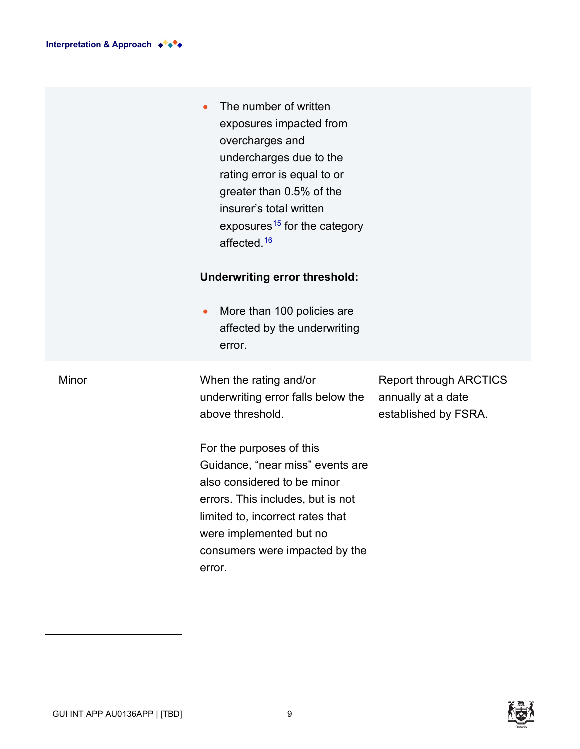|       | The number of written<br>exposures impacted from<br>overcharges and<br>undercharges due to the<br>rating error is equal to or<br>greater than 0.5% of the<br>insurer's total written<br>exposures <sup>15</sup> for the category<br>affected. <sup>16</sup><br><b>Underwriting error threshold:</b><br>More than 100 policies are<br>$\bullet$<br>affected by the underwriting<br>error. |                                                                             |
|-------|------------------------------------------------------------------------------------------------------------------------------------------------------------------------------------------------------------------------------------------------------------------------------------------------------------------------------------------------------------------------------------------|-----------------------------------------------------------------------------|
| Minor | When the rating and/or<br>underwriting error falls below the<br>above threshold.                                                                                                                                                                                                                                                                                                         | <b>Report through ARCTICS</b><br>annually at a date<br>established by FSRA. |
|       | For the purposes of this<br>Guidance, "near miss" events are<br>also considered to be minor<br>errors. This includes, but is not<br>limited to, incorrect rates that<br>were implemented but no<br>consumers were impacted by the<br>error.                                                                                                                                              |                                                                             |

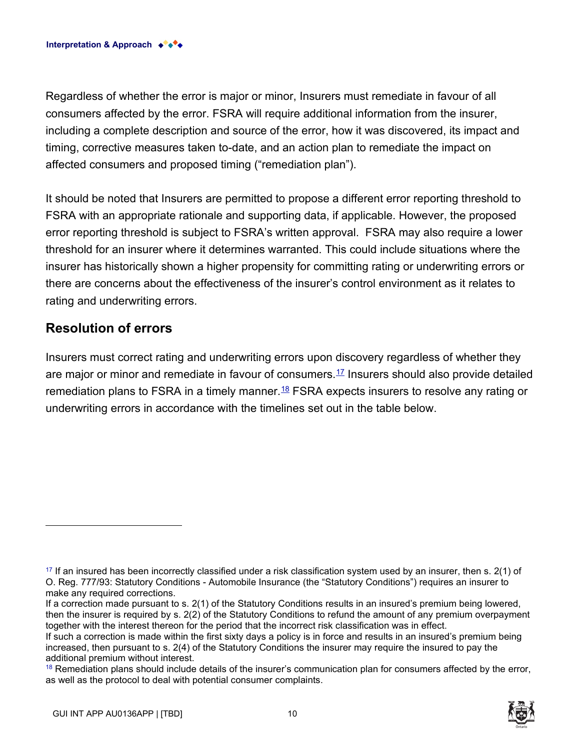Regardless of whether the error is major or minor, Insurers must remediate in favour of all consumers affected by the error. FSRA will require additional information from the insurer, including a complete description and source of the error, how it was discovered, its impact and timing, corrective measures taken to-date, and an action plan to remediate the impact on affected consumers and proposed timing ("remediation plan").

It should be noted that Insurers are permitted to propose a different error reporting threshold to FSRA with an appropriate rationale and supporting data, if applicable. However, the proposed error reporting threshold is subject to FSRA's written approval. FSRA may also require a lower threshold for an insurer where it determines warranted. This could include situations where the insurer has historically shown a higher propensity for committing rating or underwriting errors or there are concerns about the effectiveness of the insurer's control environment as it relates to rating and underwriting errors.

#### **Resolution of errors**

Insurers must correct rating and underwriting errors upon discovery regardless of whether they are major or minor and remediate in favour of consumers.<sup>17</sup> Insurers should also provide detailed remediation plans to FSRA in a timely manner.  $^{18}$  FSRA expects insurers to resolve any rating or underwriting errors in accordance with the timelines set out in the table below.



 $17$  If an insured has been incorrectly classified under a risk classification system used by an insurer, then s.  $2(1)$  of O. Reg. 777/93: Statutory Conditions - Automobile Insurance (the "Statutory Conditions") requires an insurer to make any required corrections.

If a correction made pursuant to s. 2(1) of the Statutory Conditions results in an insured's premium being lowered, then the insurer is required by s. 2(2) of the Statutory Conditions to refund the amount of any premium overpayment together with the interest thereon for the period that the incorrect risk classification was in effect.

If such a correction is made within the first sixty days a policy is in force and results in an insured's premium being increased, then pursuant to s. 2(4) of the Statutory Conditions the insurer may require the insured to pay the additional premium without interest.

<sup>&</sup>lt;sup>18</sup> Remediation plans should include details of the insurer's communication plan for consumers affected by the error, as well as the protocol to deal with potential consumer complaints.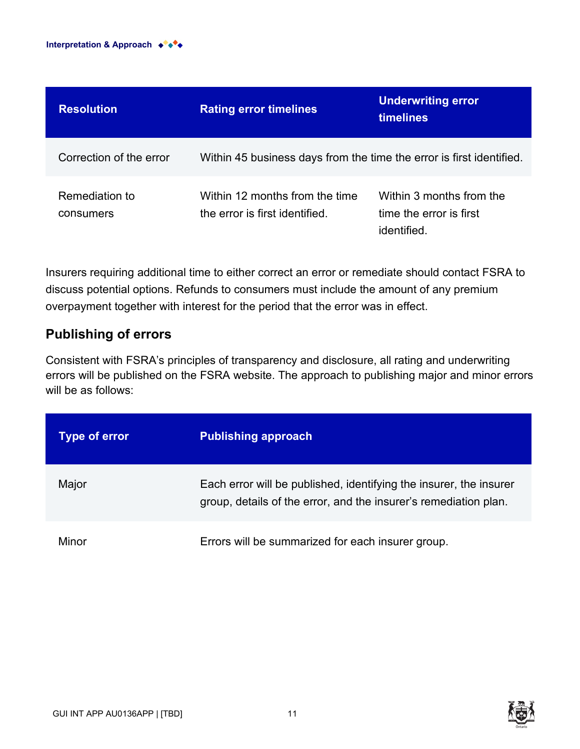| <b>Resolution</b>           | <b>Rating error timelines</b>                                        | <b>Underwriting error</b><br><b>timelines</b>                      |
|-----------------------------|----------------------------------------------------------------------|--------------------------------------------------------------------|
| Correction of the error     | Within 45 business days from the time the error is first identified. |                                                                    |
| Remediation to<br>consumers | Within 12 months from the time<br>the error is first identified.     | Within 3 months from the<br>time the error is first<br>identified. |

Insurers requiring additional time to either correct an error or remediate should contact FSRA to discuss potential options. Refunds to consumers must include the amount of any premium overpayment together with interest for the period that the error was in effect.

#### **Publishing of errors**

Consistent with FSRA's principles of transparency and disclosure, all rating and underwriting errors will be published on the FSRA website. The approach to publishing major and minor errors will be as follows:

| <b>Type of error</b> | <b>Publishing approach</b>                                                                                                             |
|----------------------|----------------------------------------------------------------------------------------------------------------------------------------|
| Major                | Each error will be published, identifying the insurer, the insurer<br>group, details of the error, and the insurer's remediation plan. |
| Minor                | Errors will be summarized for each insurer group.                                                                                      |



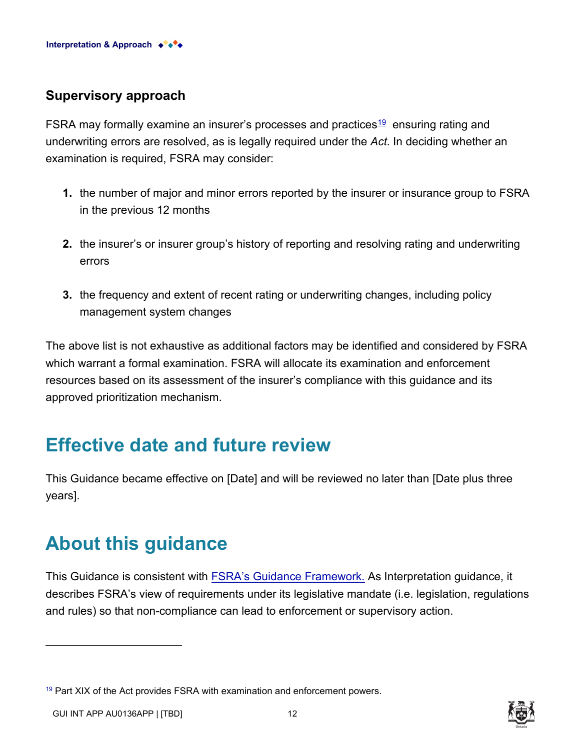#### **Supervisory approach**

FSRA may formally examine an insurer's processes and practices<sup>19</sup> ensuring rating and underwriting errors are resolved, as is legally required under the *Act*. In deciding whether an examination is required, FSRA may consider:

- **1.** the number of major and minor errors reported by the insurer or insurance group to FSRA in the previous 12 months
- **2.** the insurer's or insurer group's history of reporting and resolving rating and underwriting errors
- **3.** the frequency and extent of recent rating or underwriting changes, including policy management system changes

The above list is not exhaustive as additional factors may be identified and considered by FSRA which warrant a formal examination. FSRA will allocate its examination and enforcement resources based on its assessment of the insurer's compliance with this guidance and its approved prioritization mechanism.

### **Effective date and future review**

This Guidance became effective on [Date] and will be reviewed no later than [Date plus three years].

## **About this guidance**

This Guidance is consistent with [FSRA's Guidance Framework.](https://www.fsrao.ca/regulation/guidance/fsra-guidance-framework) As Interpretation guidance, it describes FSRA's view of requirements under its legislative mandate (i.e. legislation, regulations and rules) so that non-compliance can lead to enforcement or supervisory action.



<sup>&</sup>lt;sup>19</sup> Part XIX of the Act provides FSRA with examination and enforcement powers.